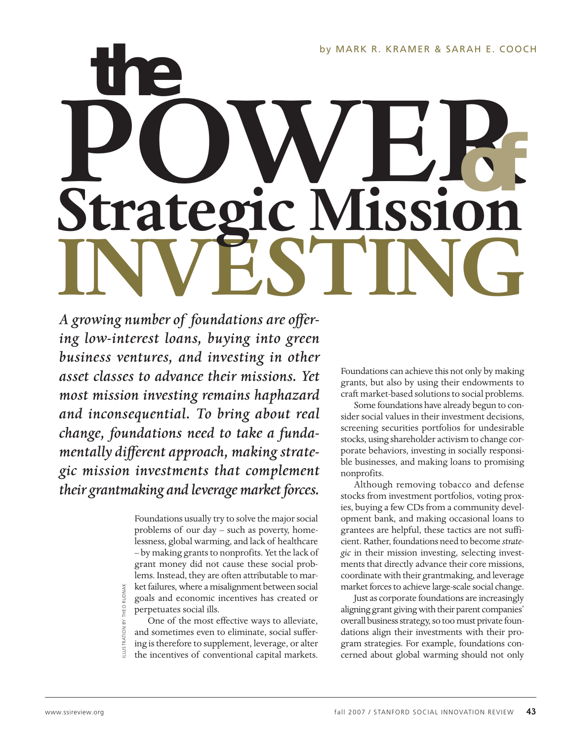by MARK R. KRAMER & SARAH E. COOCH

# *the* **POWER INVESTING Strategic Mission***of*

*A growing number of foundations are offering low-interest loans, buying into green business ventures, and investing in other asset classes to advance their missions. Yet most mission investing remains haphazard and inconsequential. To bring about real change, foundations need to take a fundamentally different approach, making strategic mission investments that complement their grantmaking and leverage market forces.*

> Foundations usually try to solve the major social problems of our day – such as poverty, homelessness, global warming, and lack of healthcare – by making grants to nonprofits. Yet the lack of grant money did not cause these social problems. Instead, they are often attributable to market failures, where a misalignment between social goals and economic incentives has created or perpetuates social ills.

One of the most effective ways to alleviate, and sometimes even to eliminate, social suffering is therefore to supplement, leverage, or alter the incentives of conventional capital markets.

Foundations can achieve this not only by making grants, but also by using their endowments to craft market-based solutions to social problems.

Some foundations have already begun to consider social values in their investment decisions, screening securities portfolios for undesirable stocks, using shareholder activism to change corporate behaviors, investing in socially responsible businesses, and making loans to promising nonprofits.

Although removing tobacco and defense stocks from investment portfolios, voting proxies, buying a few CDs from a community development bank, and making occasional loans to grantees are helpful, these tactics are not sufficient. Rather, foundations need to become *strategic* in their mission investing, selecting investments that directly advance their core missions, coordinate with their grantmaking, and leverage market forces to achieve large-scale social change.

Just as corporate foundations are increasingly aligning grant giving with their parent companies' overall business strategy, so too must private foundations align their investments with their program strategies. For example, foundations concerned about global warming should not only

ILLUSTRATION BY THEO RUDNAK

THEO RUDNAK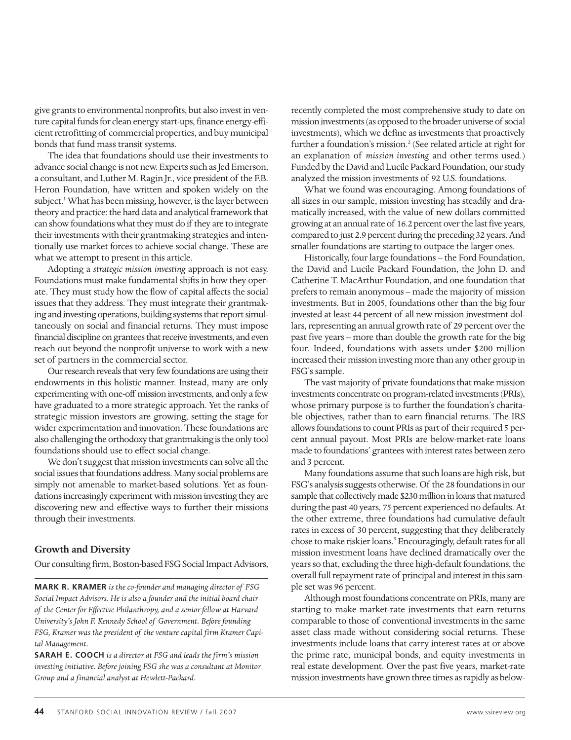give grants to environmental nonprofits, but also invest in venture capital funds for clean energy start-ups, finance energy-efficient retrofitting of commercial properties, and buy municipal bonds that fund mass transit systems.

The idea that foundations should use their investments to advance social change is not new. Experts such as Jed Emerson, a consultant, and Luther M. Ragin Jr., vice president of the F.B. Heron Foundation, have written and spoken widely on the subject.<sup>1</sup> What has been missing, however, is the layer between theory and practice: the hard data and analytical framework that can show foundations what they must do if they are to integrate their investments with their grantmaking strategies and intentionally use market forces to achieve social change. These are what we attempt to present in this article.

Adopting a *strategic mission investing* approach is not easy. Foundations must make fundamental shifts in how they operate. They must study how the flow of capital affects the social issues that they address. They must integrate their grantmaking and investing operations, building systems that report simultaneously on social and financial returns. They must impose financial discipline on grantees that receive investments, and even reach out beyond the nonprofit universe to work with a new set of partners in the commercial sector.

Our research reveals that very few foundations are using their endowments in this holistic manner. Instead, many are only experimenting with one-off mission investments, and only a few have graduated to a more strategic approach. Yet the ranks of strategic mission investors are growing, setting the stage for wider experimentation and innovation. These foundations are also challenging the orthodoxy that grantmaking is the only tool foundations should use to effect social change.

We don't suggest that mission investments can solve all the social issues that foundations address. Many social problems are simply not amenable to market-based solutions. Yet as foundations increasingly experiment with mission investing they are discovering new and effective ways to further their missions through their investments.

#### **Growth and Diversity**

Our consulting firm, Boston-based FSG Social Impact Advisors,

**MARK R. KRAMER** *is the co-founder and managing director of FSG Social Impact Advisors. He is also a founder and the initial board chair of the Center for Effective Philanthropy, and a senior fellow at Harvard University's John F. Kennedy School of Government. Before founding FSG, Kramer was the president of the venture capital firm Kramer Capital Management.*

**SARAH E. COOCH** *is a director at FSG and leads the firm's mission investing initiative. Before joining FSG she was a consultant at Monitor Group and a financial analyst at Hewlett-Packard.*

recently completed the most comprehensive study to date on mission investments (as opposed to the broader universe of social investments), which we define as investments that proactively further a foundation's mission.<sup>2</sup> (See related article at right for an explanation of *mission investing* and other terms used.) Funded by the David and Lucile Packard Foundation, our study analyzed the mission investments of 92 U.S. foundations.

What we found was encouraging. Among foundations of all sizes in our sample, mission investing has steadily and dramatically increased, with the value of new dollars committed growing at an annual rate of 16.2 percent over the last five years, compared to just 2.9 percent during the preceding 32 years. And smaller foundations are starting to outpace the larger ones.

Historically, four large foundations – the Ford Foundation, the David and Lucile Packard Foundation, the John D. and Catherine T. MacArthur Foundation, and one foundation that prefers to remain anonymous – made the majority of mission investments. But in 2005, foundations other than the big four invested at least 44 percent of all new mission investment dollars, representing an annual growth rate of 29 percent over the past five years – more than double the growth rate for the big four. Indeed, foundations with assets under \$200 million increased their mission investing more than any other group in FSG's sample.

The vast majority of private foundations that make mission investments concentrate on program-related investments (PRIs), whose primary purpose is to further the foundation's charitable objectives, rather than to earn financial returns. The IRS allows foundations to count PRIs as part of their required 5 percent annual payout. Most PRIs are below-market-rate loans made to foundations' grantees with interest rates between zero and 3 percent.

Many foundations assume that such loans are high risk, but FSG's analysis suggests otherwise. Of the 28 foundations in our sample that collectively made \$230 million in loans that matured during the past 40 years, 75 percent experienced no defaults. At the other extreme, three foundations had cumulative default rates in excess of 30 percent, suggesting that they deliberately chose to make riskier loans.<sup>3</sup> Encouragingly, default rates for all mission investment loans have declined dramatically over the years so that, excluding the three high-default foundations, the overall full repayment rate of principal and interest in this sample set was 96 percent.

Although most foundations concentrate on PRIs, many are starting to make market-rate investments that earn returns comparable to those of conventional investments in the same asset class made without considering social returns. These investments include loans that carry interest rates at or above the prime rate, municipal bonds, and equity investments in real estate development. Over the past five years, market-rate mission investments have grown three times as rapidly as below-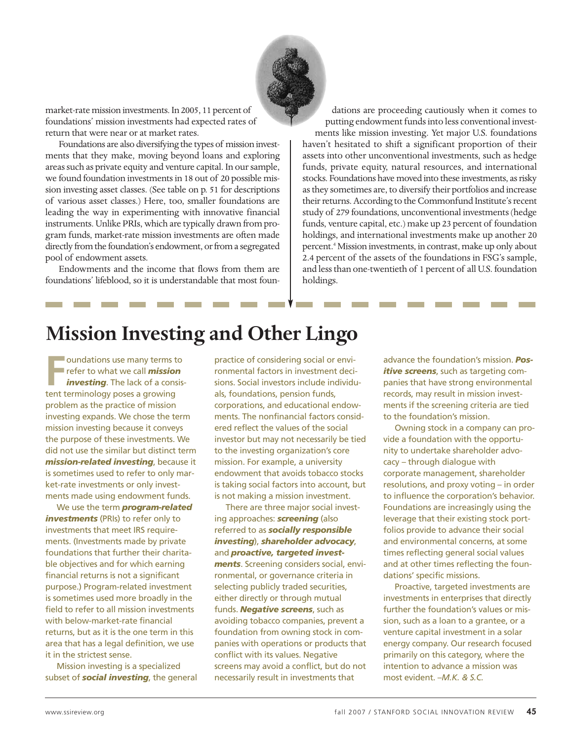

market-rate mission investments. In 2005, 11 percent of foundations' mission investments had expected rates of return that were near or at market rates.

Foundations are also diversifying the types of mission investments that they make, moving beyond loans and exploring areas such as private equity and venture capital. In our sample, we found foundation investments in 18 out of 20 possible mission investing asset classes. (See table on p. 51 for descriptions of various asset classes.) Here, too, smaller foundations are leading the way in experimenting with innovative financial instruments. Unlike PRIs, which are typically drawn from program funds, market-rate mission investments are often made directly from the foundation's endowment, or from a segregated pool of endowment assets.

Endowments and the income that flows from them are foundations' lifeblood, so it is understandable that most foun-

dations are proceeding cautiously when it comes to putting endowment funds into less conventional invest-

ments like mission investing. Yet major U.S. foundations haven't hesitated to shift a significant proportion of their assets into other unconventional investments, such as hedge funds, private equity, natural resources, and international stocks. Foundations have moved into these investments, as risky as they sometimes are, to diversify their portfolios and increase their returns. According to the Commonfund Institute's recent study of 279 foundations, unconventional investments (hedge funds, venture capital, etc.) make up 23 percent of foundation holdings, and international investments make up another 20 percent.<sup>4</sup> Mission investments, in contrast, make up only about 2.4 percent of the assets of the foundations in FSG's sample, and less than one-twentieth of 1 percent of all U.S. foundation holdings.

### **Mission Investing and Other Lingo**

**Franchilde Control of School Systems**<br> **Franchilde Tranchilde Contract Contract School School School School School School School School School School School School School School School School School School School School S Toundations use many terms to** refer to what we call *mission investing*. The lack of a consisproblem as the practice of mission investing expands. We chose the term mission investing because it conveys the purpose of these investments. We did not use the similar but distinct term *mission-related investing*, because it is sometimes used to refer to only market-rate investments or only investments made using endowment funds.

We use the term *program-related* **investments** (PRIs) to refer only to investments that meet IRS requirements. (Investments made by private foundations that further their charitable objectives and for which earning financial returns is not a significant purpose.) Program-related investment is sometimes used more broadly in the field to refer to all mission investments with below-market-rate financial returns, but as it is the one term in this area that has a legal definition, we use it in the strictest sense.

Mission investing is a specialized subset of *social investing*, the general

practice of considering social or environmental factors in investment decisions. Social investors include individuals, foundations, pension funds, corporations, and educational endowments. The nonfinancial factors considered reflect the values of the social investor but may not necessarily be tied to the investing organization's core mission. For example, a university endowment that avoids tobacco stocks is taking social factors into account, but is not making a mission investment.

There are three major social investing approaches: *screening* (also referred to as *socially responsible investing*), *shareholder advocacy*, and *proactive, targeted investments*. Screening considers social, environmental, or governance criteria in selecting publicly traded securities, either directly or through mutual funds. *Negative screens*, such as avoiding tobacco companies, prevent a foundation from owning stock in companies with operations or products that conflict with its values. Negative screens may avoid a conflict, but do not necessarily result in investments that

advance the foundation's mission. *Positive screens*, such as targeting companies that have strong environmental records, may result in mission investments if the screening criteria are tied to the foundation's mission.

Owning stock in a company can provide a foundation with the opportunity to undertake shareholder advocacy – through dialogue with corporate management, shareholder resolutions, and proxy voting – in order to influence the corporation's behavior. Foundations are increasingly using the leverage that their existing stock portfolios provide to advance their social and environmental concerns, at some times reflecting general social values and at other times reflecting the foundations' specific missions.

Proactive, targeted investments are investments in enterprises that directly further the foundation's values or mission, such as a loan to a grantee, or a venture capital investment in a solar energy company. Our research focused primarily on this category, where the intention to advance a mission was most evident. –*M.K. & S.C.*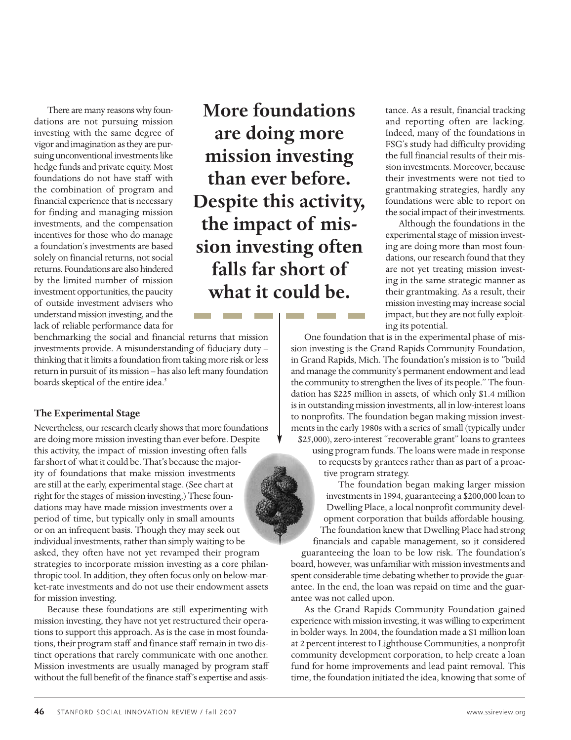There are many reasons why foundations are not pursuing mission investing with the same degree of vigor and imagination as they are pursuing unconventional investments like hedge funds and private equity. Most foundations do not have staff with the combination of program and financial experience that is necessary for finding and managing mission investments, and the compensation incentives for those who do manage a foundation's investments are based solely on financial returns, not social returns. Foundations are also hindered by the limited number of mission investment opportunities, the paucity of outside investment advisers who understand mission investing, and the lack of reliable performance data for

**More foundations are doing more mission investing than ever before. Despite this activity, the impact of mission investing often falls far short of what it could be.** 

benchmarking the social and financial returns that mission investments provide. A misunderstanding of fiduciary duty – thinking that it limits a foundation from taking more risk or less return in pursuit of its mission – has also left many foundation boards skeptical of the entire idea.<sup>5</sup>

#### **The Experimental Stage**

Nevertheless, our research clearly shows that more foundations are doing more mission investing than ever before. Despite this activity, the impact of mission investing often falls far short of what it could be. That's because the majority of foundations that make mission investments are still at the early, experimental stage. (See chart at right for the stages of mission investing.) These foundations may have made mission investments over a period of time, but typically only in small amounts or on an infrequent basis. Though they may seek out individual investments, rather than simply waiting to be asked, they often have not yet revamped their program strategies to incorporate mission investing as a core philanthropic tool. In addition, they often focus only on below-market-rate investments and do not use their endowment assets for mission investing.

Because these foundations are still experimenting with mission investing, they have not yet restructured their operations to support this approach. As is the case in most foundations, their program staff and finance staff remain in two distinct operations that rarely communicate with one another. Mission investments are usually managed by program staff without the full benefit of the finance staff's expertise and assistance. As a result, financial tracking and reporting often are lacking. Indeed, many of the foundations in FSG's study had difficulty providing the full financial results of their mission investments. Moreover, because their investments were not tied to grantmaking strategies, hardly any foundations were able to report on the social impact of their investments.

Although the foundations in the experimental stage of mission investing are doing more than most foundations, our research found that they are not yet treating mission investing in the same strategic manner as their grantmaking. As a result, their mission investing may increase social impact, but they are not fully exploiting its potential.

One foundation that is in the experimental phase of mission investing is the Grand Rapids Community Foundation, in Grand Rapids, Mich. The foundation's mission is to "build and manage the community's permanent endowment and lead the community to strengthen the lives of its people." The foundation has \$225 million in assets, of which only \$1.4 million is in outstanding mission investments, all in low-interest loans to nonprofits. The foundation began making mission investments in the early 1980s with a series of small (typically under \$25,000), zero-interest "recoverable grant" loans to grantees using program funds. The loans were made in response to requests by grantees rather than as part of a proactive program strategy.

> The foundation began making larger mission investments in 1994, guaranteeing a \$200,000 loan to Dwelling Place, a local nonprofit community development corporation that builds affordable housing. The foundation knew that Dwelling Place had strong

financials and capable management, so it considered guaranteeing the loan to be low risk. The foundation's board, however, was unfamiliar with mission investments and spent considerable time debating whether to provide the guarantee. In the end, the loan was repaid on time and the guarantee was not called upon.

As the Grand Rapids Community Foundation gained experience with mission investing, it was willing to experiment in bolder ways. In 2004, the foundation made a \$1 million loan at 2 percent interest to Lighthouse Communities, a nonprofit community development corporation, to help create a loan fund for home improvements and lead paint removal. This time, the foundation initiated the idea, knowing that some of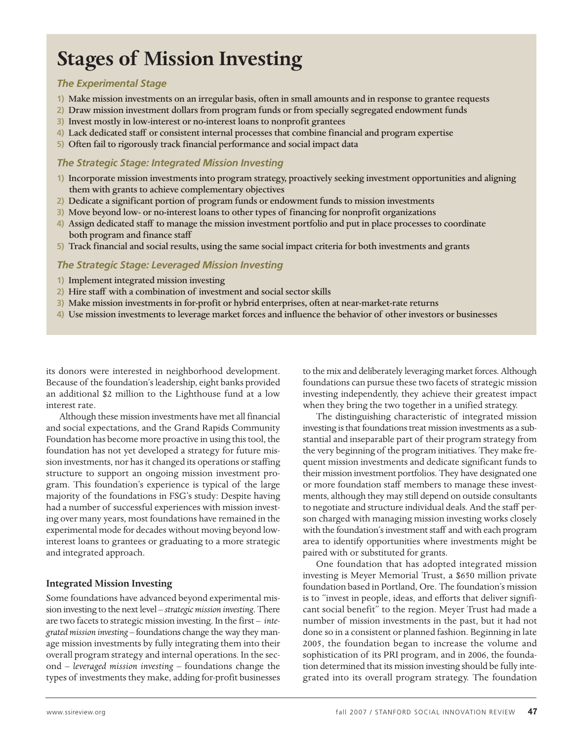## **Stages of Mission Investing**

#### *The Experimental Stage*

- **1)** Make mission investments on an irregular basis, often in small amounts and in response to grantee requests
- **2)** Draw mission investment dollars from program funds or from specially segregated endowment funds
- **3)** Invest mostly in low-interest or no-interest loans to nonprofit grantees
- **4)** Lack dedicated staff or consistent internal processes that combine financial and program expertise
- **5)** Often fail to rigorously track financial performance and social impact data

#### *The Strategic Stage: Integrated Mission Investing*

- **1)** Incorporate mission investments into program strategy, proactively seeking investment opportunities and aligning them with grants to achieve complementary objectives
- **2)** Dedicate a significant portion of program funds or endowment funds to mission investments
- **3)** Move beyond low- or no-interest loans to other types of financing for nonprofit organizations
- **4)** Assign dedicated staff to manage the mission investment portfolio and put in place processes to coordinate both program and finance staff
- **5)** Track financial and social results, using the same social impact criteria for both investments and grants

#### *The Strategic Stage: Leveraged Mission Investing*

- **1)** Implement integrated mission investing
- **2)** Hire staff with a combination of investment and social sector skills
- **3)** Make mission investments in for-profit or hybrid enterprises, often at near-market-rate returns
- **4)** Use mission investments to leverage market forces and influence the behavior of other investors or businesses

its donors were interested in neighborhood development. Because of the foundation's leadership, eight banks provided an additional \$2 million to the Lighthouse fund at a low interest rate.

Although these mission investments have met all financial and social expectations, and the Grand Rapids Community Foundation has become more proactive in using this tool, the foundation has not yet developed a strategy for future mission investments, nor has it changed its operations or staffing structure to support an ongoing mission investment program. This foundation's experience is typical of the large majority of the foundations in FSG's study: Despite having had a number of successful experiences with mission investing over many years, most foundations have remained in the experimental mode for decades without moving beyond lowinterest loans to grantees or graduating to a more strategic and integrated approach.

#### **Integrated Mission Investing**

Some foundations have advanced beyond experimental mission investing to the next level – *strategic mission investing*. There are two facets to strategic mission investing. In the first – *integrated mission investing* – foundations change the way they manage mission investments by fully integrating them into their overall program strategy and internal operations. In the second – *leveraged mission investing* – foundations change the types of investments they make, adding for-profit businesses to the mix and deliberately leveraging market forces. Although foundations can pursue these two facets of strategic mission investing independently, they achieve their greatest impact when they bring the two together in a unified strategy.

The distinguishing characteristic of integrated mission investing is that foundations treat mission investments as a substantial and inseparable part of their program strategy from the very beginning of the program initiatives. They make frequent mission investments and dedicate significant funds to their mission investment portfolios. They have designated one or more foundation staff members to manage these investments, although they may still depend on outside consultants to negotiate and structure individual deals. And the staff person charged with managing mission investing works closely with the foundation's investment staff and with each program area to identify opportunities where investments might be paired with or substituted for grants.

One foundation that has adopted integrated mission investing is Meyer Memorial Trust, a \$650 million private foundation based in Portland, Ore. The foundation's mission is to "invest in people, ideas, and efforts that deliver significant social benefit" to the region. Meyer Trust had made a number of mission investments in the past, but it had not done so in a consistent or planned fashion. Beginning in late 2005, the foundation began to increase the volume and sophistication of its PRI program, and in 2006, the foundation determined that its mission investing should be fully integrated into its overall program strategy. The foundation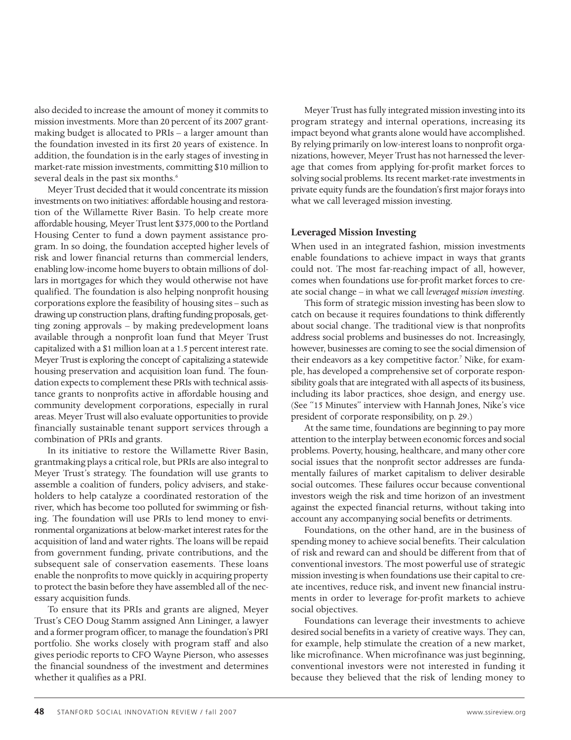also decided to increase the amount of money it commits to mission investments. More than 20 percent of its 2007 grantmaking budget is allocated to PRIs – a larger amount than the foundation invested in its first 20 years of existence. In addition, the foundation is in the early stages of investing in market-rate mission investments, committing \$10 million to several deals in the past six months.<sup>6</sup>

Meyer Trust decided that it would concentrate its mission investments on two initiatives: affordable housing and restoration of the Willamette River Basin. To help create more affordable housing, Meyer Trust lent \$375,000 to the Portland Housing Center to fund a down payment assistance program. In so doing, the foundation accepted higher levels of risk and lower financial returns than commercial lenders, enabling low-income home buyers to obtain millions of dollars in mortgages for which they would otherwise not have qualified. The foundation is also helping nonprofit housing corporations explore the feasibility of housing sites – such as drawing up construction plans, drafting funding proposals, getting zoning approvals – by making predevelopment loans available through a nonprofit loan fund that Meyer Trust capitalized with a \$1 million loan at a 1.5 percent interest rate. Meyer Trust is exploring the concept of capitalizing a statewide housing preservation and acquisition loan fund. The foundation expects to complement these PRIs with technical assistance grants to nonprofits active in affordable housing and community development corporations, especially in rural areas. Meyer Trust will also evaluate opportunities to provide financially sustainable tenant support services through a combination of PRIs and grants.

In its initiative to restore the Willamette River Basin, grantmaking plays a critical role, but PRIs are also integral to Meyer Trust's strategy. The foundation will use grants to assemble a coalition of funders, policy advisers, and stakeholders to help catalyze a coordinated restoration of the river, which has become too polluted for swimming or fishing. The foundation will use PRIs to lend money to environmental organizations at below-market interest rates for the acquisition of land and water rights. The loans will be repaid from government funding, private contributions, and the subsequent sale of conservation easements. These loans enable the nonprofits to move quickly in acquiring property to protect the basin before they have assembled all of the necessary acquisition funds.

To ensure that its PRIs and grants are aligned, Meyer Trust's CEO Doug Stamm assigned Ann Lininger, a lawyer and a former program officer, to manage the foundation's PRI portfolio. She works closely with program staff and also gives periodic reports to CFO Wayne Pierson, who assesses the financial soundness of the investment and determines whether it qualifies as a PRI.

Meyer Trust has fully integrated mission investing into its program strategy and internal operations, increasing its impact beyond what grants alone would have accomplished. By relying primarily on low-interest loans to nonprofit organizations, however, Meyer Trust has not harnessed the leverage that comes from applying for-profit market forces to solving social problems. Its recent market-rate investments in private equity funds are the foundation's first major forays into what we call leveraged mission investing.

#### **Leveraged Mission Investing**

When used in an integrated fashion, mission investments enable foundations to achieve impact in ways that grants could not. The most far-reaching impact of all, however, comes when foundations use for-profit market forces to create social change – in what we call *leveraged mission investing*.

This form of strategic mission investing has been slow to catch on because it requires foundations to think differently about social change. The traditional view is that nonprofits address social problems and businesses do not. Increasingly, however, businesses are coming to see the social dimension of their endeavors as a key competitive factor.<sup>7</sup> Nike, for example, has developed a comprehensive set of corporate responsibility goals that are integrated with all aspects of its business, including its labor practices, shoe design, and energy use. (See "15 Minutes" interview with Hannah Jones, Nike's vice president of corporate responsibility, on p. 29.)

At the same time, foundations are beginning to pay more attention to the interplay between economic forces and social problems. Poverty, housing, healthcare, and many other core social issues that the nonprofit sector addresses are fundamentally failures of market capitalism to deliver desirable social outcomes. These failures occur because conventional investors weigh the risk and time horizon of an investment against the expected financial returns, without taking into account any accompanying social benefits or detriments.

Foundations, on the other hand, are in the business of spending money to achieve social benefits. Their calculation of risk and reward can and should be different from that of conventional investors. The most powerful use of strategic mission investing is when foundations use their capital to create incentives, reduce risk, and invent new financial instruments in order to leverage for-profit markets to achieve social objectives.

Foundations can leverage their investments to achieve desired social benefits in a variety of creative ways. They can, for example, help stimulate the creation of a new market, like microfinance. When microfinance was just beginning, conventional investors were not interested in funding it because they believed that the risk of lending money to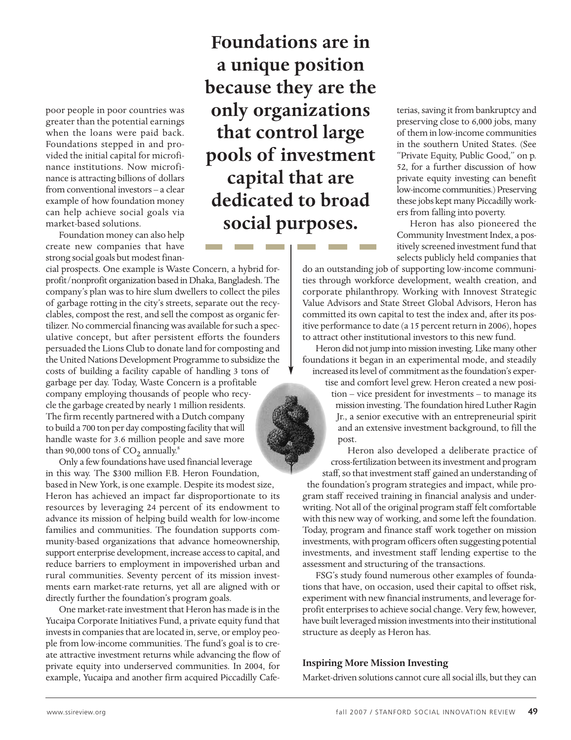poor people in poor countries was greater than the potential earnings when the loans were paid back. Foundations stepped in and provided the initial capital for microfinance institutions. Now microfinance is attracting billions of dollars from conventional investors – a clear example of how foundation money can help achieve social goals via market-based solutions.

Foundation money can also help create new companies that have strong social goals but modest finan-

cial prospects. One example is Waste Concern, a hybrid forprofit/nonprofit organization based in Dhaka, Bangladesh. The company's plan was to hire slum dwellers to collect the piles of garbage rotting in the city's streets, separate out the recyclables, compost the rest, and sell the compost as organic fertilizer. No commercial financing was available for such a speculative concept, but after persistent efforts the founders persuaded the Lions Club to donate land for composting and the United Nations Development Programme to subsidize the costs of building a facility capable of handling 3 tons of garbage per day. Today, Waste Concern is a profitable company employing thousands of people who recycle the garbage created by nearly 1 million residents. The firm recently partnered with a Dutch company to build a 700 ton per day composting facility that will handle waste for 3.6 million people and save more than 90,000 tons of  $CO<sub>2</sub>$  annually.<sup>8</sup>

Only a few foundations have used financial leverage in this way. The \$300 million F.B. Heron Foundation, based in New York, is one example. Despite its modest size, Heron has achieved an impact far disproportionate to its resources by leveraging 24 percent of its endowment to advance its mission of helping build wealth for low-income families and communities. The foundation supports community-based organizations that advance homeownership, support enterprise development, increase access to capital, and reduce barriers to employment in impoverished urban and rural communities. Seventy percent of its mission investments earn market-rate returns, yet all are aligned with or directly further the foundation's program goals.

One market-rate investment that Heron has made is in the Yucaipa Corporate Initiatives Fund, a private equity fund that invests in companies that are located in, serve, or employ people from low-income communities. The fund's goal is to create attractive investment returns while advancing the flow of private equity into underserved communities. In 2004, for example, Yucaipa and another firm acquired Piccadilly Cafe-

**Foundations are in a unique position because they are the only organizations that control large pools of investment capital that are dedicated to broad social purposes.** 

terias, saving it from bankruptcy and preserving close to 6,000 jobs, many of them in low-income communities in the southern United States. (See "Private Equity, Public Good," on p. 52, for a further discussion of how private equity investing can benefit low-income communities.) Preserving these jobs kept many Piccadilly workers from falling into poverty.

Heron has also pioneered the Community Investment Index, a positively screened investment fund that selects publicly held companies that

do an outstanding job of supporting low-income communities through workforce development, wealth creation, and corporate philanthropy. Working with Innovest Strategic Value Advisors and State Street Global Advisors, Heron has committed its own capital to test the index and, after its positive performance to date (a 15 percent return in 2006), hopes to attract other institutional investors to this new fund.

Heron did not jump into mission investing. Like many other foundations it began in an experimental mode, and steadily increased its level of commitment as the foundation's exper-

tise and comfort level grew. Heron created a new position – vice president for investments – to manage its mission investing. The foundation hired Luther Ragin Jr., a senior executive with an entrepreneurial spirit and an extensive investment background, to fill the post.

Heron also developed a deliberate practice of cross-fertilization between its investment and program staff, so that investment staff gained an understanding of the foundation's program strategies and impact, while program staff received training in financial analysis and underwriting. Not all of the original program staff felt comfortable with this new way of working, and some left the foundation. Today, program and finance staff work together on mission investments, with program officers often suggesting potential investments, and investment staff lending expertise to the assessment and structuring of the transactions.

FSG's study found numerous other examples of foundations that have, on occasion, used their capital to offset risk, experiment with new financial instruments, and leverage forprofit enterprises to achieve social change. Very few, however, have built leveraged mission investments into their institutional structure as deeply as Heron has.

#### **Inspiring More Mission Investing**

Market-driven solutions cannot cure all social ills, but they can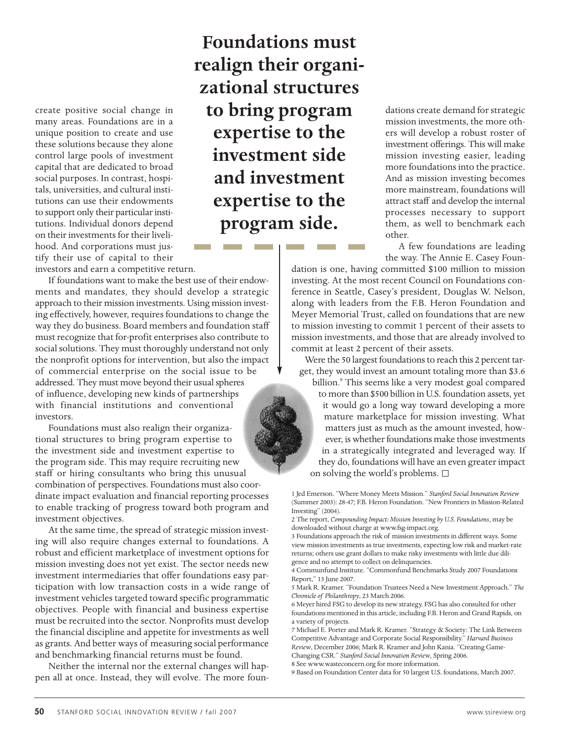create positive social change in many areas. Foundations are in a unique position to create and use these solutions because they alone control large pools of investment capital that are dedicated to broad social purposes. In contrast, hospitals, universities, and cultural institutions can use their endowments to support only their particular institutions. Individual donors depend on their investments for their livelihood. And corporations must justify their use of capital to their

**Foundations must realign their organizational structures to bring program expertise to the investment side and investment expertise to the program side.** 

dations create demand for strategic mission investments, the more others will develop a robust roster of investment offerings. This will make mission investing easier, leading more foundations into the practice. And as mission investing becomes more mainstream, foundations will attract staff and develop the internal processes necessary to support them, as well to benchmark each other.

A few foundations are leading the way. The Annie E. Casey Foun-

dation is one, having committed \$100 million to mission investing. At the most recent Council on Foundations conference in Seattle, Casey's president, Douglas W. Nelson, along with leaders from the F.B. Heron Foundation and Meyer Memorial Trust, called on foundations that are new to mission investing to commit 1 percent of their assets to mission investments, and those that are already involved to commit at least 2 percent of their assets.

Were the 50 largest foundations to reach this 2 percent target, they would invest an amount totaling more than \$3.6

billion.<sup>9</sup> This seems like a very modest goal compared to more than \$500 billion in U.S. foundation assets, yet it would go a long way toward developing a more mature marketplace for mission investing. What matters just as much as the amount invested, however, is whether foundations make those investments in a strategically integrated and leveraged way. If they do, foundations will have an even greater impact on solving the world's problems.

1 Jed Emerson. "Where Money Meets Mission." *Stanford Social Innovation Review* (Summer 2003): 28-47; F.B. Heron Foundation. "New Frontiers in Mission-Related Investing" (2004).

2 The report, *Compounding Impact: Mission Investing by U.S. Foundations*, may be downloaded without charge at www.fsg-impact.org.

3 Foundations approach the risk of mission investments in different ways. Some view mission investments as true investments, expecting low risk and market-rate returns; others use grant dollars to make risky investments with little due diligence and no attempt to collect on delinquencies.

4 Communfund Institute. "Commonfund Benchmarks Study 2007 Foundations Report," 13 June 2007.

5 Mark R. Kramer. "Foundation Trustees Need a New Investment Approach." *The Chronicle of Philanthropy*, 23 March 2006.

6 Meyer hired FSG to develop its new strategy. FSG has also consulted for other foundations mentioned in this article, including F.B. Heron and Grand Rapids, on a variety of projects.

7 Michael E. Porter and Mark R. Kramer. "Strategy & Society: The Link Between Competitive Advantage and Corporate Social Responsibility." *Harvard Business Review*, December 2006; Mark R. Kramer and John Kania. "Creating Game-Changing CSR." *Stanford Social Innovation Review*, Spring 2006.

8 See www.wasteconcern.org for more information.

9 Based on Foundation Center data for 50 largest U.S. foundations, March 2007.

investors and earn a competitive return.

If foundations want to make the best use of their endowments and mandates, they should develop a strategic approach to their mission investments. Using mission investing effectively, however, requires foundations to change the way they do business. Board members and foundation staff must recognize that for-profit enterprises also contribute to social solutions. They must thoroughly understand not only the nonprofit options for intervention, but also the impact of commercial enterprise on the social issue to be addressed. They must move beyond their usual spheres of influence, developing new kinds of partnerships with financial institutions and conventional investors.

Foundations must also realign their organizational structures to bring program expertise to the investment side and investment expertise to the program side. This may require recruiting new staff or hiring consultants who bring this unusual combination of perspectives. Foundations must also coordinate impact evaluation and financial reporting processes to enable tracking of progress toward both program and investment objectives.

At the same time, the spread of strategic mission investing will also require changes external to foundations. A robust and efficient marketplace of investment options for mission investing does not yet exist. The sector needs new investment intermediaries that offer foundations easy participation with low transaction costs in a wide range of investment vehicles targeted toward specific programmatic objectives. People with financial and business expertise must be recruited into the sector. Nonprofits must develop the financial discipline and appetite for investments as well as grants. And better ways of measuring social performance and benchmarking financial returns must be found.

Neither the internal nor the external changes will happen all at once. Instead, they will evolve. The more foun-